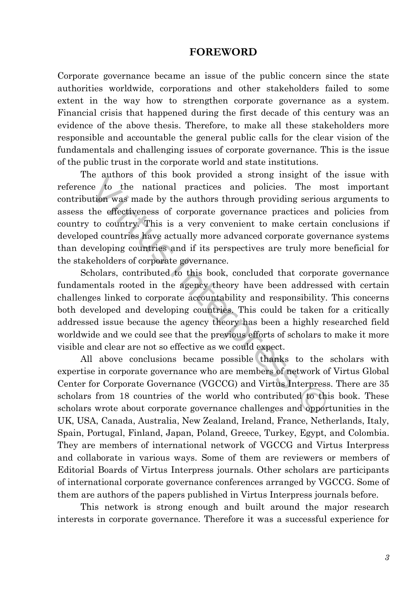## **FOREWORD**

Corporate governance became an issue of the public concern since the state authorities worldwide, corporations and other stakeholders failed to some extent in the way how to strengthen corporate governance as a system. Financial crisis that happened during the first decade of this century was an evidence of the above thesis. Therefore, to make all these stakeholders more responsible and accountable the general public calls for the clear vision of the fundamentals and challenging issues of corporate governance. This is the issue of the public trust in the corporate world and state institutions.

The authors of this book provided a strong insight of the issue with reference to the national practices and policies. The most important contribution was made by the authors through providing serious arguments to assess the effectiveness of corporate governance practices and policies from country to country. This is a very convenient to make certain conclusions if developed countries have actually more advanced corporate governance systems than developing countries and if its perspectives are truly more beneficial for the stakeholders of corporate governance. Evention to the national practices and policies. The rest to the national practices and policies. The relation was made by the authors through providing serious the effectiveness of corporate governance practices an to cou

Scholars, contributed to this book, concluded that corporate governance fundamentals rooted in the agency theory have been addressed with certain challenges linked to corporate accountability and responsibility. This concerns both developed and developing countries. This could be taken for a critically addressed issue because the agency theory has been a highly researched field worldwide and we could see that the previous efforts of scholars to make it more visible and clear are not so effective as we could expect.

All above conclusions became possible thanks to the scholars with expertise in corporate governance who are members of network of Virtus Global Center for Corporate Governance (VGCCG) and Virtus Interpress. There are 35 scholars from 18 countries of the world who contributed to this book. These scholars wrote about corporate governance challenges and opportunities in the UK, USA, Canada, Australia, New Zealand, Ireland, France, Netherlands, Italy, Spain, Portugal, Finland, Japan, Poland, Greece, Turkey, Egypt, and Colombia. They are members of international network of VGCCG and Virtus Interpress and collaborate in various ways. Some of them are reviewers or members of Editorial Boards of Virtus Interpress journals. Other scholars are participants of international corporate governance conferences arranged by VGCCG. Some of them are authors of the papers published in Virtus Interpress journals before.

This network is strong enough and built around the major research interests in corporate governance. Therefore it was a successful experience for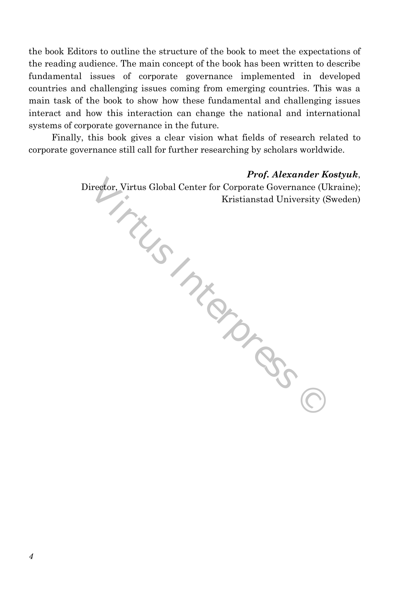the book Editors to outline the structure of the book to meet the expectations of the reading audience. The main concept of the book has been written to describe fundamental issues of corporate governance implemented in developed countries and challenging issues coming from emerging countries. This was a main task of the book to show how these fundamental and challenging issues interact and how this interaction can change the national and international systems of corporate governance in the future.

Finally, this book gives a clear vision what fields of research related to corporate governance still call for further researching by scholars worldwide.

> *Prof. Alexander Kostyuk*, Director, Virtus Global Center for Corporate Governance (Ukraine); Jos.vis. Interpretation of Case C Kristianstad University (Sweden)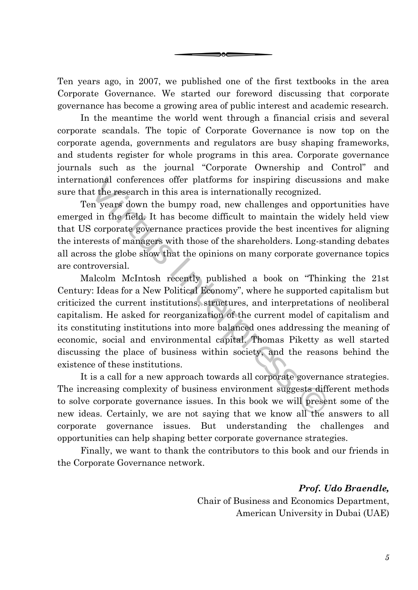Ten years ago, in 2007, we published one of the first textbooks in the area Corporate Governance. We started our foreword discussing that corporate governance has become a growing area of public interest and academic research.

coc

In the meantime the world went through a financial crisis and several corporate scandals. The topic of Corporate Governance is now top on the corporate agenda, governments and regulators are busy shaping frameworks, and students register for whole programs in this area. Corporate governance journals such as the journal "Corporate Ownership and Control" and international conferences offer platforms for inspiring discussions and make sure that the research in this area is internationally recognized.

Ten years down the bumpy road, new challenges and opportunities have emerged in the field. It has become difficult to maintain the widely held view that US corporate governance practices provide the best incentives for aligning the interests of managers with those of the shareholders. Long-standing debates all across the globe show that the opinions on many corporate governance topics are controversial.

Malcolm McIntosh recently published a book on "Thinking the 21st Century: Ideas for a New Political Economy", where he supported capitalism but criticized the current institutions, structures, and interpretations of neoliberal capitalism. He asked for reorganization of the current model of capitalism and its constituting institutions into more balanced ones addressing the meaning of economic, social and environmental capital. Thomas Piketty as well started discussing the place of business within society, and the reasons behind the existence of these institutions. tional conferences offer platforms for inspiring discuss<br>at the research in this area is internationally recognized.<br>In years down the bumpy road, new challenges and opp<br>d in the field. It has become difficult to maintain

It is a call for a new approach towards all corporate governance strategies. The increasing complexity of business environment suggests different methods to solve corporate governance issues. In this book we will present some of the new ideas. Certainly, we are not saying that we know all the answers to all corporate governance issues. But understanding the challenges and opportunities can help shaping better corporate governance strategies.

Finally, we want to thank the contributors to this book and our friends in the Corporate Governance network.

> *Prof. Udo Braendle,* Chair of Business and Economics Department, American University in Dubai (UAE)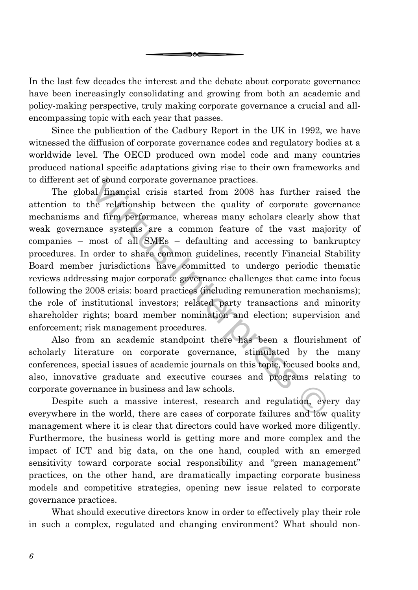In the last few decades the interest and the debate about corporate governance have been increasingly consolidating and growing from both an academic and policy-making perspective, truly making corporate governance a crucial and allencompassing topic with each year that passes.

эөс

Since the publication of the Cadbury Report in the UK in 1992, we have witnessed the diffusion of corporate governance codes and regulatory bodies at a worldwide level. The OECD produced own model code and many countries produced national specific adaptations giving rise to their own frameworks and to different set of sound corporate governance practices.

The global financial crisis started from 2008 has further raised the attention to the relationship between the quality of corporate governance mechanisms and firm performance, whereas many scholars clearly show that weak governance systems are a common feature of the vast majority of companies – most of all SMEs – defaulting and accessing to bankruptcy procedures. In order to share common guidelines, recently Financial Stability Board member jurisdictions have committed to undergo periodic thematic reviews addressing major corporate governance challenges that came into focus following the 2008 crisis: board practices (including remuneration mechanisms); the role of institutional investors; related party transactions and minority shareholder rights; board member nomination and election; supervision and enforcement; risk management procedures. of sound corporate governance practices.<br>
al financial crisis started from 2008 has further ra<br>
he relationship between the quality of corporate go<br>
and firm performance, whereas many scholars clearly s<br>
nce systems are a

Also from an academic standpoint there has been a flourishment of scholarly literature on corporate governance, stimulated by the many conferences, special issues of academic journals on this topic, focused books and, also, innovative graduate and executive courses and programs relating to corporate governance in business and law schools.

Despite such a massive interest, research and regulation, every day everywhere in the world, there are cases of corporate failures and low quality management where it is clear that directors could have worked more diligently. Furthermore, the business world is getting more and more complex and the impact of ICT and big data, on the one hand, coupled with an emerged sensitivity toward corporate social responsibility and "green management" practices, on the other hand, are dramatically impacting corporate business models and competitive strategies, opening new issue related to corporate governance practices.

What should executive directors know in order to effectively play their role in such a complex, regulated and changing environment? What should non